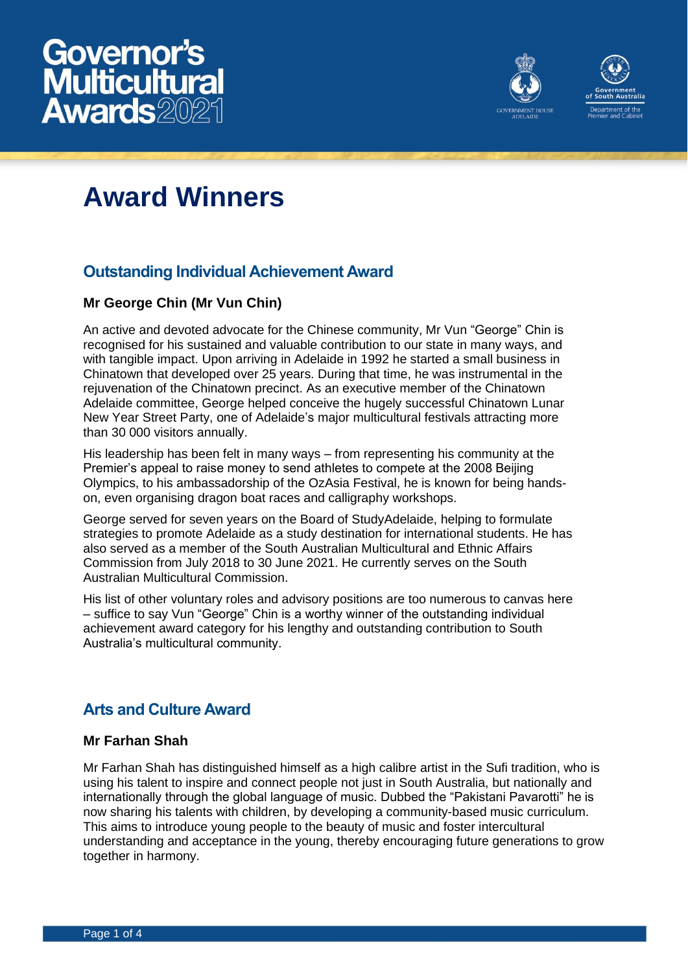



# **Award Winners**

# **Outstanding Individual Achievement Award**

## **Mr George Chin (Mr Vun Chin)**

An active and devoted advocate for the Chinese community, Mr Vun "George" Chin is recognised for his sustained and valuable contribution to our state in many ways, and with tangible impact. Upon arriving in Adelaide in 1992 he started a small business in Chinatown that developed over 25 years. During that time, he was instrumental in the rejuvenation of the Chinatown precinct. As an executive member of the Chinatown Adelaide committee, George helped conceive the hugely successful Chinatown Lunar New Year Street Party, one of Adelaide's major multicultural festivals attracting more than 30 000 visitors annually.

His leadership has been felt in many ways – from representing his community at the Premier's appeal to raise money to send athletes to compete at the 2008 Beijing Olympics, to his ambassadorship of the OzAsia Festival, he is known for being handson, even organising dragon boat races and calligraphy workshops.

George served for seven years on the Board of StudyAdelaide, helping to formulate strategies to promote Adelaide as a study destination for international students. He has also served as a member of the South Australian Multicultural and Ethnic Affairs Commission from July 2018 to 30 June 2021. He currently serves on the South Australian Multicultural Commission.

His list of other voluntary roles and advisory positions are too numerous to canvas here – suffice to say Vun "George" Chin is a worthy winner of the outstanding individual achievement award category for his lengthy and outstanding contribution to South Australia's multicultural community.

## **Arts and Culture Award**

#### **Mr Farhan Shah**

Mr Farhan Shah has distinguished himself as a high calibre artist in the Sufi tradition, who is using his talent to inspire and connect people not just in South Australia, but nationally and internationally through the global language of music. Dubbed the "Pakistani Pavarotti" he is now sharing his talents with children, by developing a community-based music curriculum. This aims to introduce young people to the beauty of music and foster intercultural understanding and acceptance in the young, thereby encouraging future generations to grow together in harmony.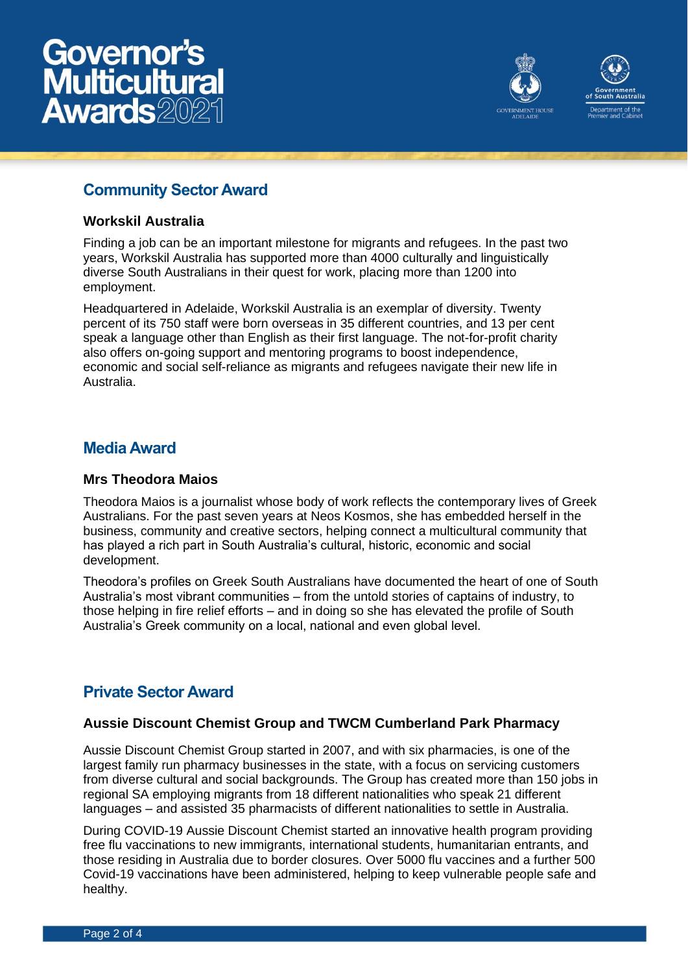



## **Community Sector Award**

#### **Workskil Australia**

Finding a job can be an important milestone for migrants and refugees. In the past two years, Workskil Australia has supported more than 4000 culturally and linguistically diverse South Australians in their quest for work, placing more than 1200 into employment.

Headquartered in Adelaide, Workskil Australia is an exemplar of diversity. Twenty percent of its 750 staff were born overseas in 35 different countries, and 13 per cent speak a language other than English as their first language. The not-for-profit charity also offers on-going support and mentoring programs to boost independence, economic and social self-reliance as migrants and refugees navigate their new life in Australia.

## **Media Award**

#### **Mrs Theodora Maios**

Theodora Maios is a journalist whose body of work reflects the contemporary lives of Greek Australians. For the past seven years at Neos Kosmos, she has embedded herself in the business, community and creative sectors, helping connect a multicultural community that has played a rich part in South Australia's cultural, historic, economic and social development.

Theodora's profiles on Greek South Australians have documented the heart of one of South Australia's most vibrant communities – from the untold stories of captains of industry, to those helping in fire relief efforts – and in doing so she has elevated the profile of South Australia's Greek community on a local, national and even global level.

## **Private Sector Award**

#### **Aussie Discount Chemist Group and TWCM Cumberland Park Pharmacy**

Aussie Discount Chemist Group started in 2007, and with six pharmacies, is one of the largest family run pharmacy businesses in the state, with a focus on servicing customers from diverse cultural and social backgrounds. The Group has created more than 150 jobs in regional SA employing migrants from 18 different nationalities who speak 21 different languages – and assisted 35 pharmacists of different nationalities to settle in Australia.

During COVID-19 Aussie Discount Chemist started an innovative health program providing free flu vaccinations to new immigrants, international students, humanitarian entrants, and those residing in Australia due to border closures. Over 5000 flu vaccines and a further 500 Covid-19 vaccinations have been administered, helping to keep vulnerable people safe and healthy.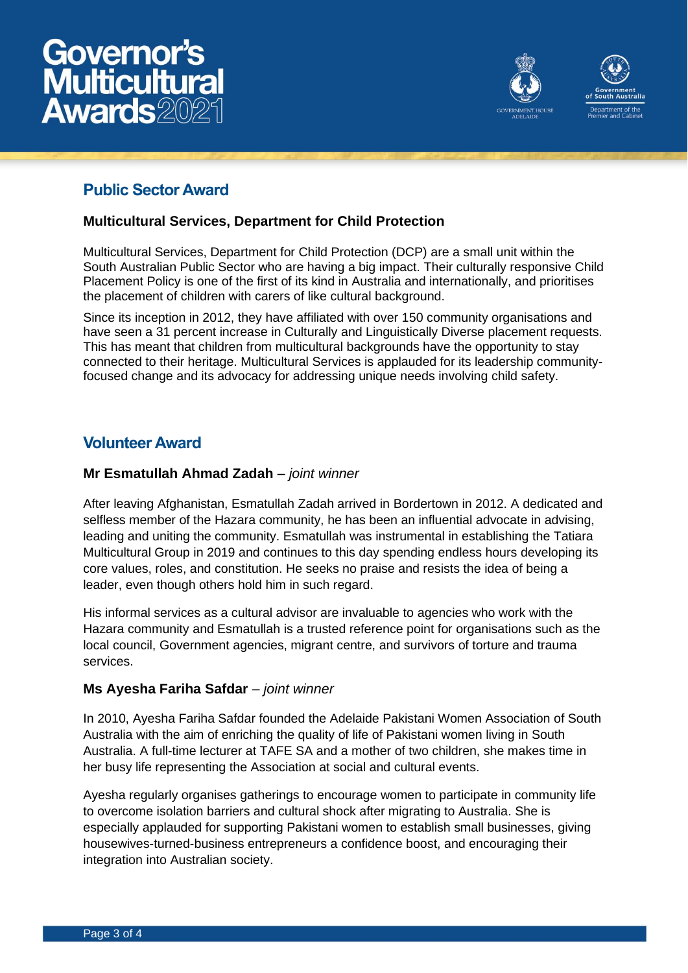



# **Public Sector Award**

#### **Multicultural Services, Department for Child Protection**

Multicultural Services, Department for Child Protection (DCP) are a small unit within the South Australian Public Sector who are having a big impact. Their culturally responsive Child Placement Policy is one of the first of its kind in Australia and internationally, and prioritises the placement of children with carers of like cultural background.

Since its inception in 2012, they have affiliated with over 150 community organisations and have seen a 31 percent increase in Culturally and Linguistically Diverse placement requests. This has meant that children from multicultural backgrounds have the opportunity to stay connected to their heritage. Multicultural Services is applauded for its leadership communityfocused change and its advocacy for addressing unique needs involving child safety.

## **Volunteer Award**

#### **Mr Esmatullah Ahmad Zadah** *– joint winner*

After leaving Afghanistan, Esmatullah Zadah arrived in Bordertown in 2012. A dedicated and selfless member of the Hazara community, he has been an influential advocate in advising, leading and uniting the community. Esmatullah was instrumental in establishing the Tatiara Multicultural Group in 2019 and continues to this day spending endless hours developing its core values, roles, and constitution. He seeks no praise and resists the idea of being a leader, even though others hold him in such regard.

His informal services as a cultural advisor are invaluable to agencies who work with the Hazara community and Esmatullah is a trusted reference point for organisations such as the local council, Government agencies, migrant centre, and survivors of torture and trauma services.

#### **Ms Ayesha Fariha Safdar** *– joint winner*

In 2010, Ayesha Fariha Safdar founded the Adelaide Pakistani Women Association of South Australia with the aim of enriching the quality of life of Pakistani women living in South Australia. A full-time lecturer at TAFE SA and a mother of two children, she makes time in her busy life representing the Association at social and cultural events.

Ayesha regularly organises gatherings to encourage women to participate in community life to overcome isolation barriers and cultural shock after migrating to Australia. She is especially applauded for supporting Pakistani women to establish small businesses, giving housewives-turned-business entrepreneurs a confidence boost, and encouraging their integration into Australian society.